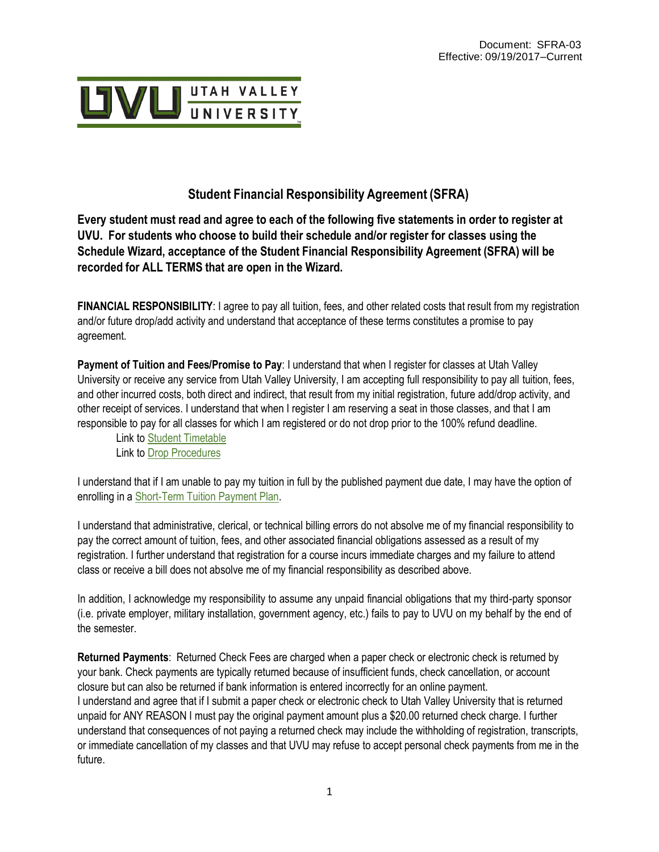

# **Student Financial Responsibility Agreement (SFRA)**

Every student must read and agree to each of the following five statements in order to register at **UVU. For students who choose to build their schedule and/or register for classes using the Schedule Wizard, acceptance of the Student Financial Responsibility Agreement (SFRA) will be recorded for ALL TERMS that are open in the Wizard.**

**FINANCIAL RESPONSIBILITY**: I agree to pay all tuition, fees, and other related costs that result from my registration and/or future drop/add activity and understand that acceptance of these terms constitutes a promise to pay agreement.

**Payment of Tuition and Fees/Promise to Pay**: I understand that when I register for classes at Utah Valley University or receive any service from Utah Valley University, I am accepting full responsibility to pay all tuition, fees, and other incurred costs, both direct and indirect, that result from my initial registration, future add/drop activity, and other receipt of services. I understand that when I register I am reserving a seat in those classes, and that I am responsible to pay for all classes for which I am registered or do not drop prior to the 100% refund deadline.

Link to Student [Timetable](https://www.uvu.edu/registration/registration_deadlines/) Link to [Drop Procedures](https://www.uvu.edu/registration/add-drop-withdraw.html)

I understand that if I am unable to pay my tuition in full by the published payment due date, I may have the option of enrolling in [a Short-Term Tuition Payment Plan.](https://www.uvu.edu/collections/tuition.html)

I understand that administrative, clerical, or technical billing errors do not absolve me of my financial responsibility to pay the correct amount of tuition, fees, and other associated financial obligations assessed as a result of my registration. I further understand that registration for a course incurs immediate charges and my failure to attend class or receive a bill does not absolve me of my financial responsibility as described above.

In addition, I acknowledge my responsibility to assume any unpaid financial obligations that my third-party sponsor (i.e. private employer, military installation, government agency, etc.) fails to pay to UVU on my behalf by the end of the semester.

**Returned Payments**: Returned Check Fees are charged when a paper check or electronic check is returned by your bank. Check payments are typically returned because of insufficient funds, check cancellation, or account closure but can also be returned if bank information is entered incorrectly for an online payment. I understand and agree that if I submit a paper check or electronic check to Utah Valley University that is returned unpaid for ANY REASON I must pay the original payment amount plus a \$20.00 returned check charge. I further understand that consequences of not paying a returned check may include the withholding of registration, transcripts, or immediate cancellation of my classes and that UVU may refuse to accept personal check payments from me in the future.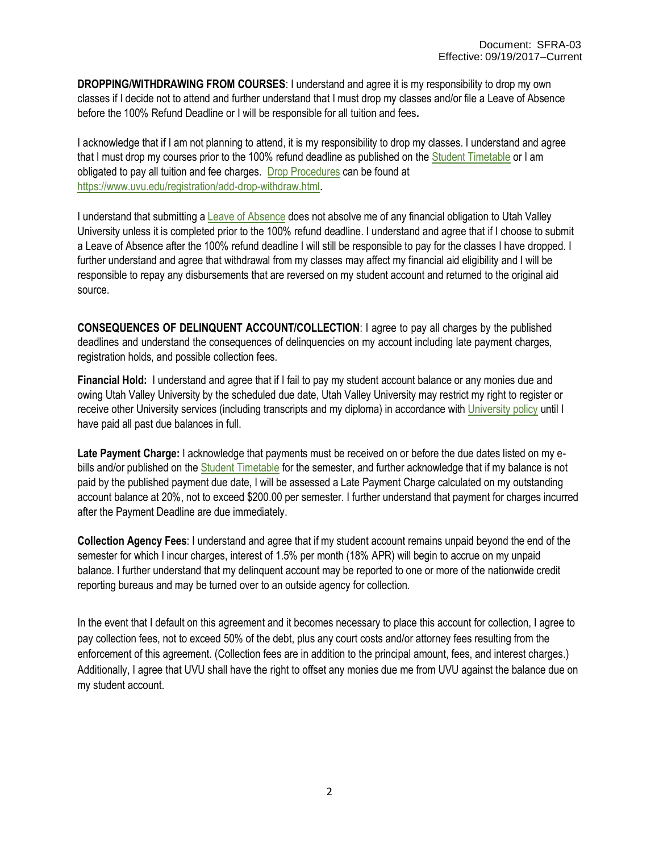**DROPPING/WITHDRAWING FROM COURSES**: I understand and agree it is my responsibility to drop my own classes if I decide not to attend and further understand that I must drop my classes and/or file a Leave of Absence before the 100% Refund Deadline or I will be responsible for all tuition and fees*.*

I acknowledge that if I am not planning to attend, it is my responsibility to drop my classes. I understand and agree that I must drop my courses prior to the 100% refund deadline as published on the Student [Timetable](https://www.uvu.edu/registration/registration_deadlines/) or I am obligated to pay all tuition and fee charges. [Drop Procedures](https://www.uvu.edu/registration/add-drop-withdraw.html) can be found at <https://www.uvu.edu/registration/add-drop-withdraw.html>.

I understand that submitting a [Leave of Absence](https://www.uvu.edu/leaveofabsence/) does not absolve me of any financial obligation to Utah Valley University unless it is completed prior to the 100% refund deadline. I understand and agree that if I choose to submit a Leave of Absence after the 100% refund deadline I will still be responsible to pay for the classes I have dropped. I further understand and agree that withdrawal from my classes may affect my financial aid eligibility and I will be responsible to repay any disbursements that are reversed on my student account and returned to the original aid source.

**CONSEQUENCES OF DELINQUENT ACCOUNT/COLLECTION**: I agree to pay all charges by the published deadlines and understand the consequences of delinquencies on my account including late payment charges, registration holds, and possible collection fees.

**Financial Hold:** I understand and agree that if I fail to pay my student account balance or any monies due and owing Utah Valley University by the scheduled due date, Utah Valley University may restrict my right to register or receive other University services (including transcripts and my diploma) in accordance wit[h University policy](http://www.uvu.edu/policies) until I have paid all past due balances in full.

**Late Payment Charge:** I acknowledge that payments must be received on or before the due dates listed on my ebills and/or published on th[e Student Timetable](https://www.uvu.edu/registration/registration_deadlines/) for the semester, and further acknowledge that if my balance is not paid by the published payment due date, I will be assessed a Late Payment Charge calculated on my outstanding account balance at 20%, not to exceed \$200.00 per semester. I further understand that payment for charges incurred after the Payment Deadline are due immediately.

**Collection Agency Fees**: I understand and agree that if my student account remains unpaid beyond the end of the semester for which I incur charges, interest of 1.5% per month (18% APR) will begin to accrue on my unpaid balance. I further understand that my delinquent account may be reported to one or more of the nationwide credit reporting bureaus and may be turned over to an outside agency for collection.

In the event that I default on this agreement and it becomes necessary to place this account for collection, I agree to pay collection fees, not to exceed 50% of the debt, plus any court costs and/or attorney fees resulting from the enforcement of this agreement. (Collection fees are in addition to the principal amount, fees, and interest charges.) Additionally, I agree that UVU shall have the right to offset any monies due me from UVU against the balance due on my student account.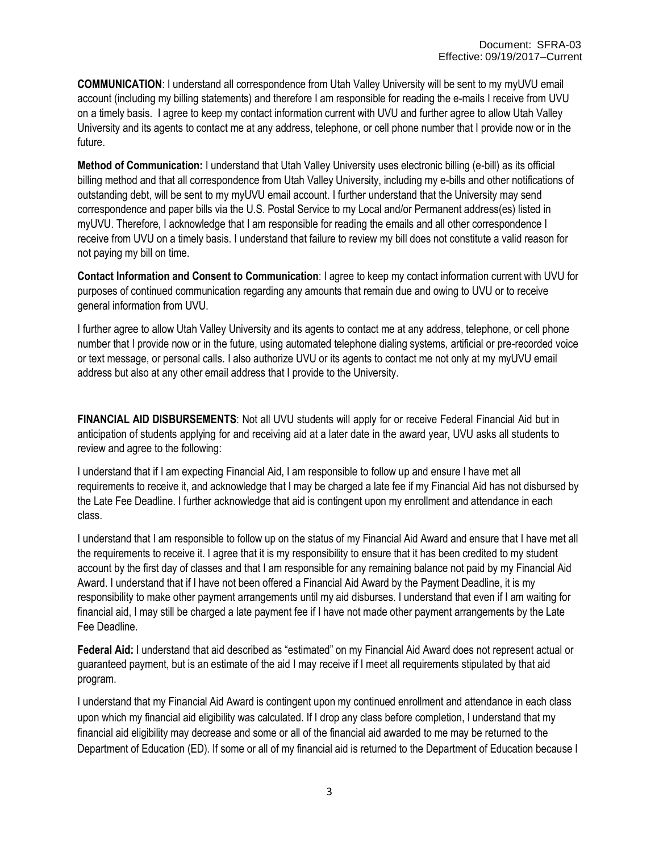**COMMUNICATION**: I understand all correspondence from Utah Valley University will be sent to my myUVU email account (including my billing statements) and therefore I am responsible for reading the e-mails I receive from UVU on a timely basis. I agree to keep my contact information current with UVU and further agree to allow Utah Valley University and its agents to contact me at any address, telephone, or cell phone number that I provide now or in the future.

**Method of Communication:** I understand that Utah Valley University uses electronic billing (e-bill) as its official billing method and that all correspondence from Utah Valley University, including my e-bills and other notifications of outstanding debt, will be sent to my myUVU email account. I further understand that the University may send correspondence and paper bills via the U.S. Postal Service to my Local and/or Permanent address(es) listed in myUVU. Therefore, I acknowledge that I am responsible for reading the emails and all other correspondence I receive from UVU on a timely basis. I understand that failure to review my bill does not constitute a valid reason for not paying my bill on time.

**Contact Information and Consent to Communication**: I agree to keep my contact information current with UVU for purposes of continued communication regarding any amounts that remain due and owing to UVU or to receive general information from UVU.

I further agree to allow Utah Valley University and its agents to contact me at any address, telephone, or cell phone number that I provide now or in the future, using automated telephone dialing systems, artificial or pre-recorded voice or text message, or personal calls. I also authorize UVU or its agents to contact me not only at my myUVU email address but also at any other email address that I provide to the University.

**FINANCIAL AID DISBURSEMENTS**: Not all UVU students will apply for or receive Federal Financial Aid but in anticipation of students applying for and receiving aid at a later date in the award year, UVU asks all students to review and agree to the following:

I understand that if I am expecting Financial Aid, I am responsible to follow up and ensure I have met all requirements to receive it, and acknowledge that I may be charged a late fee if my Financial Aid has not disbursed by the Late Fee Deadline. I further acknowledge that aid is contingent upon my enrollment and attendance in each class.

I understand that I am responsible to follow up on the status of my Financial Aid Award and ensure that I have met all the requirements to receive it. I agree that it is my responsibility to ensure that it has been credited to my student account by the first day of classes and that I am responsible for any remaining balance not paid by my Financial Aid Award. I understand that if I have not been offered a Financial Aid Award by the Payment Deadline, it is my responsibility to make other payment arrangements until my aid disburses. I understand that even if I am waiting for financial aid, I may still be charged a late payment fee if I have not made other payment arrangements by the Late Fee Deadline.

**Federal Aid:** I understand that aid described as "estimated" on my Financial Aid Award does not represent actual or guaranteed payment, but is an estimate of the aid I may receive if I meet all requirements stipulated by that aid program.

I understand that my Financial Aid Award is contingent upon my continued enrollment and attendance in each class upon which my financial aid eligibility was calculated. If I drop any class before completion, I understand that my financial aid eligibility may decrease and some or all of the financial aid awarded to me may be returned to the Department of Education (ED). If some or all of my financial aid is returned to the Department of Education because I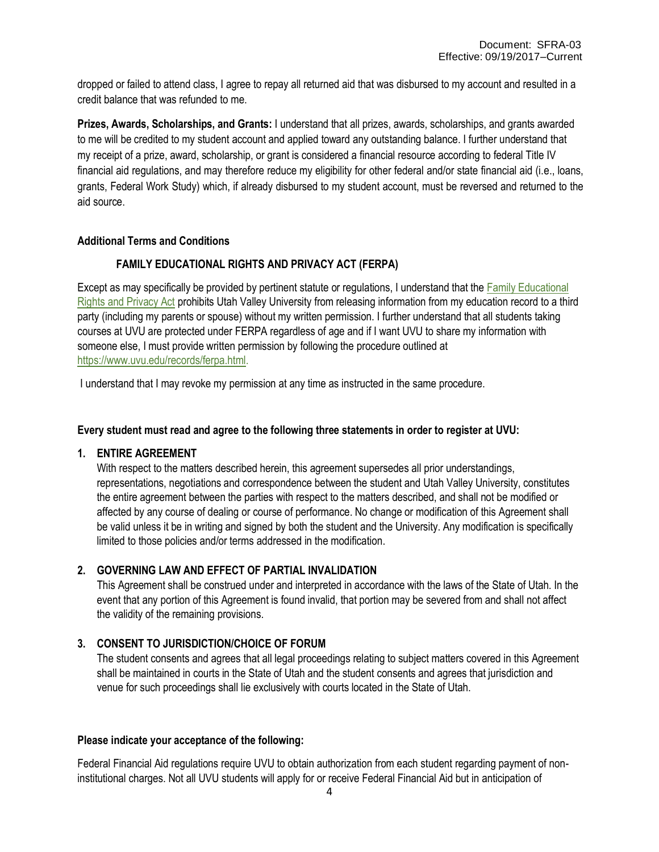dropped or failed to attend class, I agree to repay all returned aid that was disbursed to my account and resulted in a credit balance that was refunded to me.

**Prizes, Awards, Scholarships, and Grants:** I understand that all prizes, awards, scholarships, and grants awarded to me will be credited to my student account and applied toward any outstanding balance. I further understand that my receipt of a prize, award, scholarship, or grant is considered a financial resource according to federal Title IV financial aid regulations, and may therefore reduce my eligibility for other federal and/or state financial aid (i.e., loans, grants, Federal Work Study) which, if already disbursed to my student account, must be reversed and returned to the aid source.

### **Additional Terms and Conditions**

## **FAMILY EDUCATIONAL RIGHTS AND PRIVACY ACT (FERPA)**

Except as may specifically be provided by pertinent statute or regulations, I understand that the [Family Educational](https://www.uvu.edu/records/ferpa.html) Rights [and Privacy Act](http://www.uvu.edu/parents/ferpa/) prohibits Utah Valley University from releasing information from my education record to a third party (including my parents or spouse) without my written permission. I further understand that all students taking courses at UVU are protected under FERPA regardless of age and if I want UVU to share my information with someone else, I must provide written permission by following the procedure outlined at [https://www.uvu.edu/records/ferpa.html.](https://www.uvu.edu/records/ferpa.html)

I understand that I may revoke my permission at any time as instructed in the same procedure.

#### **Every student must read and agree to the following three statements in order to register at UVU:**

#### **1. ENTIRE AGREEMENT**

With respect to the matters described herein, this agreement supersedes all prior understandings, representations, negotiations and correspondence between the student and Utah Valley University, constitutes the entire agreement between the parties with respect to the matters described, and shall not be modified or affected by any course of dealing or course of performance. No change or modification of this Agreement shall be valid unless it be in writing and signed by both the student and the University. Any modification is specifically limited to those policies and/or terms addressed in the modification.

#### **2. GOVERNING LAW AND EFFECT OF PARTIAL INVALIDATION**

This Agreement shall be construed under and interpreted in accordance with the laws of the State of Utah. In the event that any portion of this Agreement is found invalid, that portion may be severed from and shall not affect the validity of the remaining provisions.

#### **3. CONSENT TO JURISDICTION/CHOICE OF FORUM**

The student consents and agrees that all legal proceedings relating to subject matters covered in this Agreement shall be maintained in courts in the State of Utah and the student consents and agrees that jurisdiction and venue for such proceedings shall lie exclusively with courts located in the State of Utah.

#### **Please indicate your acceptance of the following:**

Federal Financial Aid regulations require UVU to obtain authorization from each student regarding payment of noninstitutional charges. Not all UVU students will apply for or receive Federal Financial Aid but in anticipation of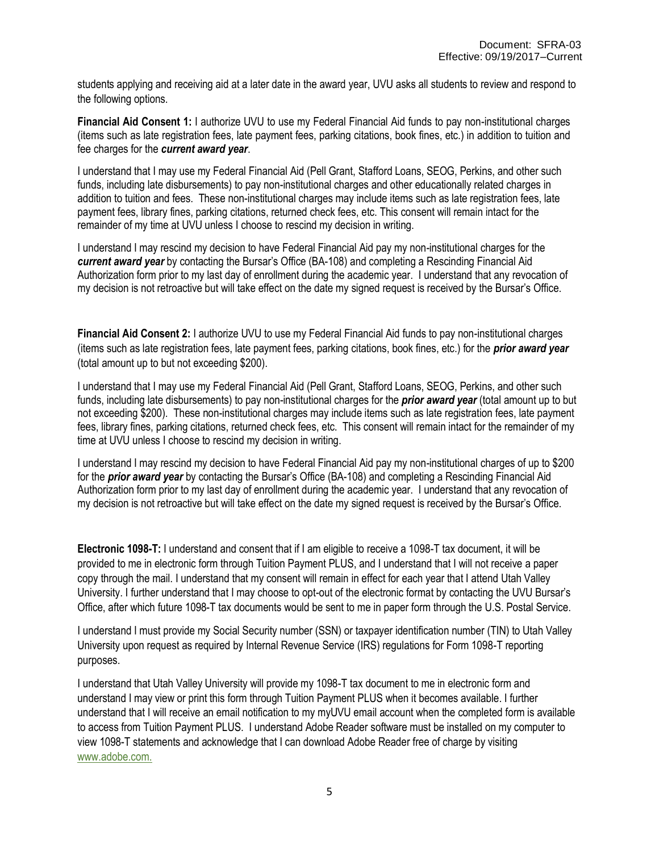students applying and receiving aid at a later date in the award year, UVU asks all students to review and respond to the following options.

**Financial Aid Consent 1:** I authorize UVU to use my Federal Financial Aid funds to pay non-institutional charges (items such as late registration fees, late payment fees, parking citations, book fines, etc.) in addition to tuition and fee charges for the *current award year*.

I understand that I may use my Federal Financial Aid (Pell Grant, Stafford Loans, SEOG, Perkins, and other such funds, including late disbursements) to pay non-institutional charges and other educationally related charges in addition to tuition and fees. These non-institutional charges may include items such as late registration fees, late payment fees, library fines, parking citations, returned check fees, etc. This consent will remain intact for the remainder of my time at UVU unless I choose to rescind my decision in writing.

I understand I may rescind my decision to have Federal Financial Aid pay my non-institutional charges for the *current award year* by contacting the Bursar's Office (BA-108) and completing a Rescinding Financial Aid Authorization form prior to my last day of enrollment during the academic year. I understand that any revocation of my decision is not retroactive but will take effect on the date my signed request is received by the Bursar's Office.

**Financial Aid Consent 2:** I authorize UVU to use my Federal Financial Aid funds to pay non-institutional charges (items such as late registration fees, late payment fees, parking citations, book fines, etc.) for the *prior award year*  (total amount up to but not exceeding \$200).

I understand that I may use my Federal Financial Aid (Pell Grant, Stafford Loans, SEOG, Perkins, and other such funds, including late disbursements) to pay non-institutional charges for the *prior award year* (total amount up to but not exceeding \$200). These non-institutional charges may include items such as late registration fees, late payment fees, library fines, parking citations, returned check fees, etc. This consent will remain intact for the remainder of my time at UVU unless I choose to rescind my decision in writing.

I understand I may rescind my decision to have Federal Financial Aid pay my non-institutional charges of up to \$200 for the *prior award year* by contacting the Bursar's Office (BA-108) and completing a Rescinding Financial Aid Authorization form prior to my last day of enrollment during the academic year. I understand that any revocation of my decision is not retroactive but will take effect on the date my signed request is received by the Bursar's Office.

**Electronic 1098-T:** I understand and consent that if I am eligible to receive a 1098-T tax document, it will be provided to me in electronic form through Tuition Payment PLUS, and I understand that I will not receive a paper copy through the mail. I understand that my consent will remain in effect for each year that I attend Utah Valley University. I further understand that I may choose to opt-out of the electronic format by contacting the UVU Bursar's Office, after which future 1098-T tax documents would be sent to me in paper form through the U.S. Postal Service.

I understand I must provide my Social Security number (SSN) or taxpayer identification number (TIN) to Utah Valley University upon request as required by Internal Revenue Service (IRS) regulations for Form 1098-T reporting purposes.

I understand that Utah Valley University will provide my 1098-T tax document to me in electronic form and understand I may view or print this form through Tuition Payment PLUS when it becomes available. I further understand that I will receive an email notification to my myUVU email account when the completed form is available to access from Tuition Payment PLUS. I understand Adobe Reader software must be installed on my computer to view 1098-T statements and acknowledge that I can download Adobe Reader free of charge by visiting [www.adobe.com.](http://www.adobe.com./)